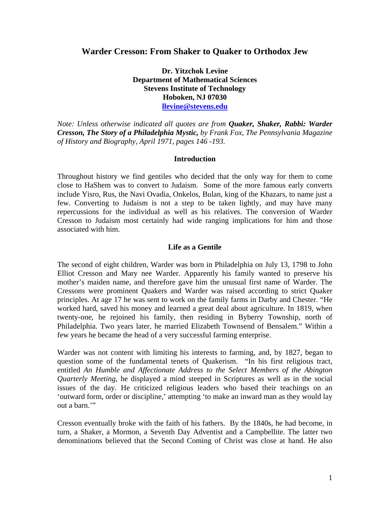# **Warder Cresson: From Shaker to Quaker to Orthodox Jew**

**Dr. Yitzchok Levine Department of Mathematical Sciences Stevens Institute of Technology Hoboken, NJ 07030 llevine@stevens.edu**

*Note: Unless otherwise indicated all quotes are from Quaker, Shaker, Rabbi: Warder Cresson, The Story of a Philadelphia Mystic, by Frank Fox, The Pennsylvania Magazine of History and Biography, April 1971, pages 146 -193.* 

### **Introduction**

Throughout history we find gentiles who decided that the only way for them to come close to HaShem was to convert to Judaism. Some of the more famous early converts include Yisro, Rus, the Navi Ovadia, Onkelos, Bulan, king of the Khazars, to name just a few. Converting to Judaism is not a step to be taken lightly, and may have many repercussions for the individual as well as his relatives. The conversion of Warder Cresson to Judaism most certainly had wide ranging implications for him and those associated with him.

### **Life as a Gentile**

The second of eight children, Warder was born in Philadelphia on July 13, 1798 to John Elliot Cresson and Mary nee Warder. Apparently his family wanted to preserve his mother's maiden name, and therefore gave him the unusual first name of Warder. The Cressons were prominent Quakers and Warder was raised according to strict Quaker principles. At age 17 he was sent to work on the family farms in Darby and Chester. "He worked hard, saved his money and learned a great deal about agriculture. In 1819, when twenty-one, he rejoined his family, then residing in Byberry Township, north of Philadelphia. Two years later, he married Elizabeth Townsend of Bensalem." Within a few years he became the head of a very successful farming enterprise.

Warder was not content with limiting his interests to farming, and, by 1827, began to question some of the fundamental tenets of Quakerism. "In his first religious tract, entitled *An Humble and Affectionate Address to the Select Members of the Abington Quarterly Meeting*, he displayed a mind steeped in Scriptures as well as in the social issues of the day. He criticized religious leaders who based their teachings on an 'outward form, order or discipline,' attempting 'to make an inward man as they would lay out a barn."

Cresson eventually broke with the faith of his fathers. By the 1840s, he had become, in turn, a Shaker, a Mormon, a Seventh Day Adventist and a Campbellite. The latter two denominations believed that the Second Coming of Christ was close at hand. He also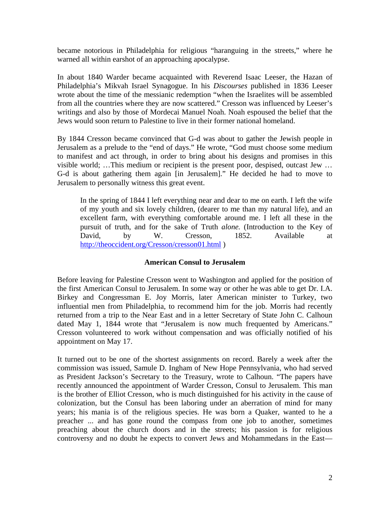became notorious in Philadelphia for religious "haranguing in the streets," where he warned all within earshot of an approaching apocalypse.

In about 1840 Warder became acquainted with Reverend Isaac Leeser, the Hazan of Philadelphia's Mikvah Israel Synagogue. In his *Discourses* published in 1836 Leeser wrote about the time of the messianic redemption "when the Israelites will be assembled from all the countries where they are now scattered." Cresson was influenced by Leeser's writings and also by those of Mordecai Manuel Noah. Noah espoused the belief that the Jews would soon return to Palestine to live in their former national homeland.

By 1844 Cresson became convinced that G-d was about to gather the Jewish people in Jerusalem as a prelude to the "end of days." He wrote, "God must choose some medium to manifest and act through, in order to bring about his designs and promises in this visible world; …This medium or recipient is the present poor, despised, outcast Jew … G-d is about gathering them again [in Jerusalem]." He decided he had to move to Jerusalem to personally witness this great event.

In the spring of 1844 I left everything near and dear to me on earth. I left the wife of my youth and six lovely children, (dearer to me than my natural life), and an excellent farm, with everything comfortable around me. I left all these in the pursuit of truth, and for the sake of Truth *alone.* (Introduction to the Key of David, by W. Cresson, 1852. Available at http://theoccident.org/Cresson/cresson01.html )

### **American Consul to Jerusalem**

Before leaving for Palestine Cresson went to Washington and applied for the position of the first American Consul to Jerusalem. In some way or other he was able to get Dr. I.A. Birkey and Congressman E. Joy Morris, later American minister to Turkey, two influential men from Philadelphia, to recommend him for the job. Morris had recently returned from a trip to the Near East and in a letter Secretary of State John C. Calhoun dated May 1, 1844 wrote that "Jerusalem is now much frequented by Americans." Cresson volunteered to work without compensation and was officially notified of his appointment on May 17.

It turned out to be one of the shortest assignments on record. Barely a week after the commission was issued, Samule D. Ingham of New Hope Pennsylvania, who had served as President Jackson's Secretary to the Treasury, wrote to Calhoun. "The papers have recently announced the appointment of Warder Cresson, Consul to Jerusalem. This man is the brother of Elliot Cresson, who is much distinguished for his activity in the cause of colonization, but the Consul has been laboring under an aberration of mind for many years; his mania is of the religious species. He was born a Quaker, wanted to he a preacher ... and has gone round the compass from one job to another, sometimes preaching about the church doors and in the streets; his passion is for religious controversy and no doubt he expects to convert Jews and Mohammedans in the East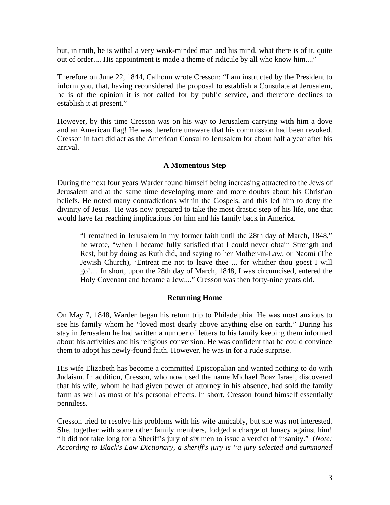but, in truth, he is withal a very weak-minded man and his mind, what there is of it, quite out of order.... His appointment is made a theme of ridicule by all who know him...."

Therefore on June 22, 1844, Calhoun wrote Cresson: "I am instructed by the President to inform you, that, having reconsidered the proposal to establish a Consulate at Jerusalem, he is of the opinion it is not called for by public service, and therefore declines to establish it at present."

However, by this time Cresson was on his way to Jerusalem carrying with him a dove and an American flag! He was therefore unaware that his commission had been revoked. Cresson in fact did act as the American Consul to Jerusalem for about half a year after his arrival.

### **A Momentous Step**

During the next four years Warder found himself being increasing attracted to the Jews of Jerusalem and at the same time developing more and more doubts about his Christian beliefs. He noted many contradictions within the Gospels, and this led him to deny the divinity of Jesus. He was now prepared to take the most drastic step of his life, one that would have far reaching implications for him and his family back in America.

"I remained in Jerusalem in my former faith until the 28th day of March, 1848," he wrote, "when I became fully satisfied that I could never obtain Strength and Rest, but by doing as Ruth did, and saying to her Mother-in-Law, or Naomi (The Jewish Church), 'Entreat me not to leave thee ... for whither thou goest I will go'.... In short, upon the 28th day of March, 1848, I was circumcised, entered the Holy Covenant and became a Jew...." Cresson was then forty-nine years old.

## **Returning Home**

On May 7, 1848, Warder began his return trip to Philadelphia. He was most anxious to see his family whom he "loved most dearly above anything else on earth." During his stay in Jerusalem he had written a number of letters to his family keeping them informed about his activities and his religious conversion. He was confident that he could convince them to adopt his newly-found faith. However, he was in for a rude surprise.

His wife Elizabeth has become a committed Episcopalian and wanted nothing to do with Judaism. In addition, Cresson, who now used the name Michael Boaz Israel, discovered that his wife, whom he had given power of attorney in his absence, had sold the family farm as well as most of his personal effects. In short, Cresson found himself essentially penniless.

Cresson tried to resolve his problems with his wife amicably, but she was not interested. She, together with some other family members, lodged a charge of lunacy against him! "It did not take long for a Sheriff's jury of six men to issue a verdict of insanity." (*Note: According to Black's Law Dictionary, a sheriff's jury is "a jury selected and summoned*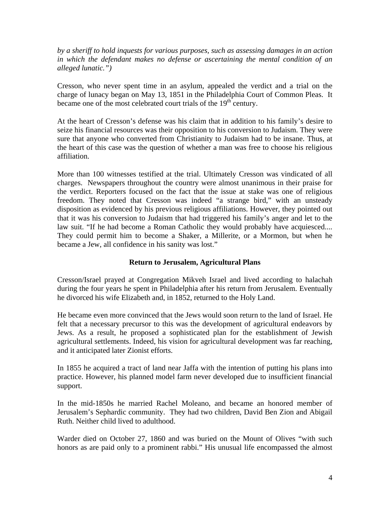*by a sheriff to hold inquests for various purposes, such as assessing damages in an action in which the defendant makes no defense or ascertaining the mental condition of an alleged lunatic.")* 

Cresson, who never spent time in an asylum, appealed the verdict and a trial on the charge of lunacy began on May 13, 1851 in the Philadelphia Court of Common Pleas. It became one of the most celebrated court trials of the 19<sup>th</sup> century.

At the heart of Cresson's defense was his claim that in addition to his family's desire to seize his financial resources was their opposition to his conversion to Judaism. They were sure that anyone who converted from Christianity to Judaism had to be insane. Thus, at the heart of this case was the question of whether a man was free to choose his religious affiliation.

More than 100 witnesses testified at the trial. Ultimately Cresson was vindicated of all charges. Newspapers throughout the country were almost unanimous in their praise for the verdict. Reporters focused on the fact that the issue at stake was one of religious freedom. They noted that Cresson was indeed "a strange bird," with an unsteady disposition as evidenced by his previous religious affiliations. However, they pointed out that it was his conversion to Judaism that had triggered his family's anger and let to the law suit. "If he had become a Roman Catholic they would probably have acquiesced.... They could permit him to become a Shaker, a Millerite, or a Mormon, but when he became a Jew, all confidence in his sanity was lost."

## **Return to Jerusalem, Agricultural Plans**

Cresson/Israel prayed at Congregation Mikveh Israel and lived according to halachah during the four years he spent in Philadelphia after his return from Jerusalem. Eventually he divorced his wife Elizabeth and, in 1852, returned to the Holy Land.

He became even more convinced that the Jews would soon return to the land of Israel. He felt that a necessary precursor to this was the development of agricultural endeavors by Jews. As a result, he proposed a sophisticated plan for the establishment of Jewish agricultural settlements. Indeed, his vision for agricultural development was far reaching, and it anticipated later Zionist efforts.

In 1855 he acquired a tract of land near Jaffa with the intention of putting his plans into practice. However, his planned model farm never developed due to insufficient financial support.

In the mid-1850s he married Rachel Moleano, and became an honored member of Jerusalem's Sephardic community. They had two children, David Ben Zion and Abigail Ruth. Neither child lived to adulthood.

Warder died on October 27, 1860 and was buried on the Mount of Olives "with such honors as are paid only to a prominent rabbi." His unusual life encompassed the almost